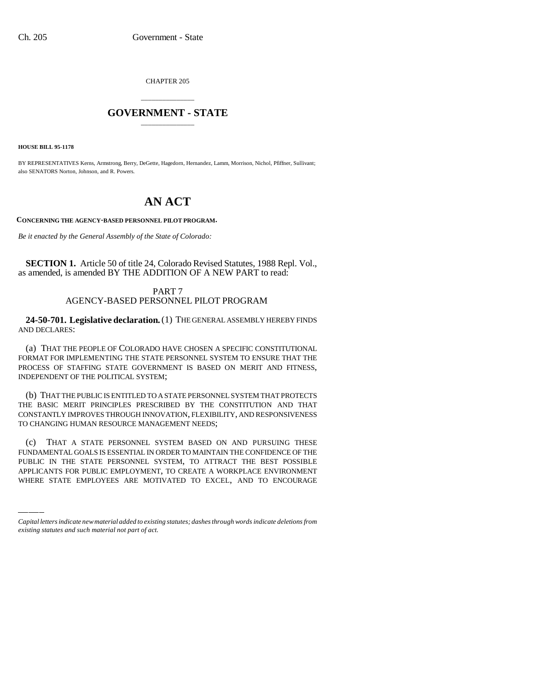CHAPTER 205

## \_\_\_\_\_\_\_\_\_\_\_\_\_\_\_ **GOVERNMENT - STATE** \_\_\_\_\_\_\_\_\_\_\_\_\_\_\_

**HOUSE BILL 95-1178**

BY REPRESENTATIVES Kerns, Armstrong, Berry, DeGette, Hagedorn, Hernandez, Lamm, Morrison, Nichol, Pfiffner, Sullivant; also SENATORS Norton, Johnson, and R. Powers.

## **AN ACT**

**CONCERNING THE AGENCY-BASED PERSONNEL PILOT PROGRAM.**

*Be it enacted by the General Assembly of the State of Colorado:*

**SECTION 1.** Article 50 of title 24, Colorado Revised Statutes, 1988 Repl. Vol., as amended, is amended BY THE ADDITION OF A NEW PART to read:

## PART 7 AGENCY-BASED PERSONNEL PILOT PROGRAM

**24-50-701. Legislative declaration.** (1) THE GENERAL ASSEMBLY HEREBY FINDS AND DECLARES:

(a) THAT THE PEOPLE OF COLORADO HAVE CHOSEN A SPECIFIC CONSTITUTIONAL FORMAT FOR IMPLEMENTING THE STATE PERSONNEL SYSTEM TO ENSURE THAT THE PROCESS OF STAFFING STATE GOVERNMENT IS BASED ON MERIT AND FITNESS, INDEPENDENT OF THE POLITICAL SYSTEM;

(b) THAT THE PUBLIC IS ENTITLED TO A STATE PERSONNEL SYSTEM THAT PROTECTS THE BASIC MERIT PRINCIPLES PRESCRIBED BY THE CONSTITUTION AND THAT CONSTANTLY IMPROVES THROUGH INNOVATION, FLEXIBILITY, AND RESPONSIVENESS TO CHANGING HUMAN RESOURCE MANAGEMENT NEEDS;

(C) THAT A STATE PERSONNEL SYSTEM BASED ON AND PURSUING THESE<br>FUNDAMENTAL GOALS IS ESSENTIAL IN ORDER TO MAINTAIN THE CONFIDENCE OF THE (c) THAT A STATE PERSONNEL SYSTEM BASED ON AND PURSUING THESE PUBLIC IN THE STATE PERSONNEL SYSTEM, TO ATTRACT THE BEST POSSIBLE APPLICANTS FOR PUBLIC EMPLOYMENT, TO CREATE A WORKPLACE ENVIRONMENT WHERE STATE EMPLOYEES ARE MOTIVATED TO EXCEL, AND TO ENCOURAGE

*Capital letters indicate new material added to existing statutes; dashes through words indicate deletions from existing statutes and such material not part of act.*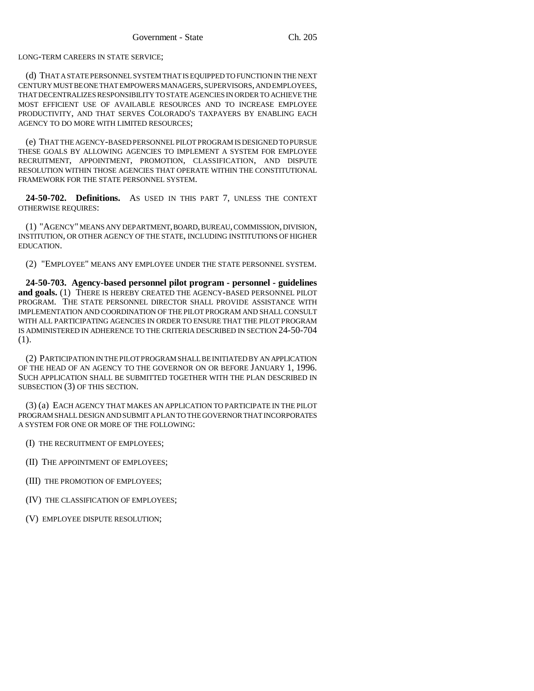LONG-TERM CAREERS IN STATE SERVICE;

(d) THAT A STATE PERSONNEL SYSTEM THAT IS EQUIPPED TO FUNCTION IN THE NEXT CENTURY MUST BE ONE THAT EMPOWERS MANAGERS, SUPERVISORS, AND EMPLOYEES, THAT DECENTRALIZES RESPONSIBILITY TO STATE AGENCIES IN ORDER TO ACHIEVE THE MOST EFFICIENT USE OF AVAILABLE RESOURCES AND TO INCREASE EMPLOYEE PRODUCTIVITY, AND THAT SERVES COLORADO'S TAXPAYERS BY ENABLING EACH AGENCY TO DO MORE WITH LIMITED RESOURCES;

(e) THAT THE AGENCY-BASED PERSONNEL PILOT PROGRAM IS DESIGNED TO PURSUE THESE GOALS BY ALLOWING AGENCIES TO IMPLEMENT A SYSTEM FOR EMPLOYEE RECRUITMENT, APPOINTMENT, PROMOTION, CLASSIFICATION, AND DISPUTE RESOLUTION WITHIN THOSE AGENCIES THAT OPERATE WITHIN THE CONSTITUTIONAL FRAMEWORK FOR THE STATE PERSONNEL SYSTEM.

**24-50-702. Definitions.** AS USED IN THIS PART 7, UNLESS THE CONTEXT OTHERWISE REQUIRES:

(1) "AGENCY" MEANS ANY DEPARTMENT, BOARD, BUREAU, COMMISSION, DIVISION, INSTITUTION, OR OTHER AGENCY OF THE STATE, INCLUDING INSTITUTIONS OF HIGHER EDUCATION.

(2) "EMPLOYEE" MEANS ANY EMPLOYEE UNDER THE STATE PERSONNEL SYSTEM.

**24-50-703. Agency-based personnel pilot program - personnel - guidelines and goals.** (1) THERE IS HEREBY CREATED THE AGENCY-BASED PERSONNEL PILOT PROGRAM. THE STATE PERSONNEL DIRECTOR SHALL PROVIDE ASSISTANCE WITH IMPLEMENTATION AND COORDINATION OF THE PILOT PROGRAM AND SHALL CONSULT WITH ALL PARTICIPATING AGENCIES IN ORDER TO ENSURE THAT THE PILOT PROGRAM IS ADMINISTERED IN ADHERENCE TO THE CRITERIA DESCRIBED IN SECTION 24-50-704 (1).

(2) PARTICIPATION IN THE PILOT PROGRAM SHALL BE INITIATED BY AN APPLICATION OF THE HEAD OF AN AGENCY TO THE GOVERNOR ON OR BEFORE JANUARY 1, 1996. SUCH APPLICATION SHALL BE SUBMITTED TOGETHER WITH THE PLAN DESCRIBED IN SUBSECTION (3) OF THIS SECTION.

(3) (a) EACH AGENCY THAT MAKES AN APPLICATION TO PARTICIPATE IN THE PILOT PROGRAM SHALL DESIGN AND SUBMIT A PLAN TO THE GOVERNOR THAT INCORPORATES A SYSTEM FOR ONE OR MORE OF THE FOLLOWING:

(I) THE RECRUITMENT OF EMPLOYEES;

- (II) THE APPOINTMENT OF EMPLOYEES;
- (III) THE PROMOTION OF EMPLOYEES;
- (IV) THE CLASSIFICATION OF EMPLOYEES;

(V) EMPLOYEE DISPUTE RESOLUTION;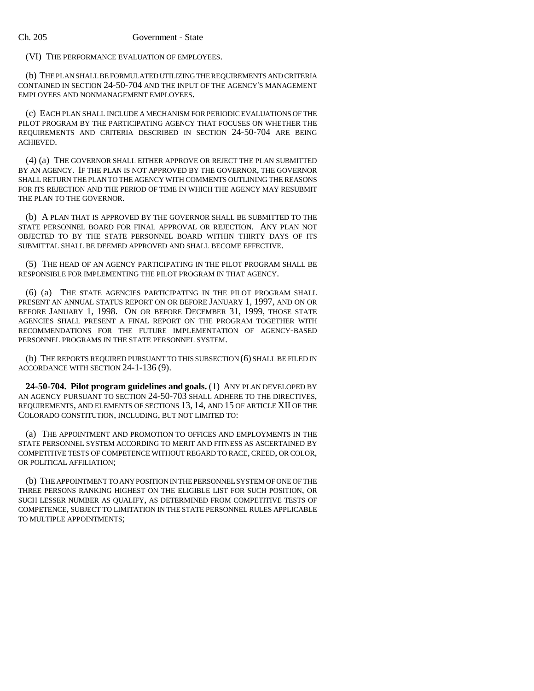(VI) THE PERFORMANCE EVALUATION OF EMPLOYEES.

(b) THE PLAN SHALL BE FORMULATED UTILIZING THE REQUIREMENTS AND CRITERIA CONTAINED IN SECTION 24-50-704 AND THE INPUT OF THE AGENCY'S MANAGEMENT EMPLOYEES AND NONMANAGEMENT EMPLOYEES.

(c) EACH PLAN SHALL INCLUDE A MECHANISM FOR PERIODIC EVALUATIONS OF THE PILOT PROGRAM BY THE PARTICIPATING AGENCY THAT FOCUSES ON WHETHER THE REQUIREMENTS AND CRITERIA DESCRIBED IN SECTION 24-50-704 ARE BEING ACHIEVED.

(4) (a) THE GOVERNOR SHALL EITHER APPROVE OR REJECT THE PLAN SUBMITTED BY AN AGENCY. IF THE PLAN IS NOT APPROVED BY THE GOVERNOR, THE GOVERNOR SHALL RETURN THE PLAN TO THE AGENCY WITH COMMENTS OUTLINING THE REASONS FOR ITS REJECTION AND THE PERIOD OF TIME IN WHICH THE AGENCY MAY RESUBMIT THE PLAN TO THE GOVERNOR.

(b) A PLAN THAT IS APPROVED BY THE GOVERNOR SHALL BE SUBMITTED TO THE STATE PERSONNEL BOARD FOR FINAL APPROVAL OR REJECTION. ANY PLAN NOT OBJECTED TO BY THE STATE PERSONNEL BOARD WITHIN THIRTY DAYS OF ITS SUBMITTAL SHALL BE DEEMED APPROVED AND SHALL BECOME EFFECTIVE.

(5) THE HEAD OF AN AGENCY PARTICIPATING IN THE PILOT PROGRAM SHALL BE RESPONSIBLE FOR IMPLEMENTING THE PILOT PROGRAM IN THAT AGENCY.

(6) (a) THE STATE AGENCIES PARTICIPATING IN THE PILOT PROGRAM SHALL PRESENT AN ANNUAL STATUS REPORT ON OR BEFORE JANUARY 1, 1997, AND ON OR BEFORE JANUARY 1, 1998. ON OR BEFORE DECEMBER 31, 1999, THOSE STATE AGENCIES SHALL PRESENT A FINAL REPORT ON THE PROGRAM TOGETHER WITH RECOMMENDATIONS FOR THE FUTURE IMPLEMENTATION OF AGENCY-BASED PERSONNEL PROGRAMS IN THE STATE PERSONNEL SYSTEM.

(b) THE REPORTS REQUIRED PURSUANT TO THIS SUBSECTION (6) SHALL BE FILED IN ACCORDANCE WITH SECTION 24-1-136 (9).

**24-50-704. Pilot program guidelines and goals.** (1) ANY PLAN DEVELOPED BY AN AGENCY PURSUANT TO SECTION 24-50-703 SHALL ADHERE TO THE DIRECTIVES, REQUIREMENTS, AND ELEMENTS OF SECTIONS 13, 14, AND 15 OF ARTICLE XII OF THE COLORADO CONSTITUTION, INCLUDING, BUT NOT LIMITED TO:

(a) THE APPOINTMENT AND PROMOTION TO OFFICES AND EMPLOYMENTS IN THE STATE PERSONNEL SYSTEM ACCORDING TO MERIT AND FITNESS AS ASCERTAINED BY COMPETITIVE TESTS OF COMPETENCE WITHOUT REGARD TO RACE, CREED, OR COLOR, OR POLITICAL AFFILIATION;

(b) THE APPOINTMENT TO ANY POSITION IN THE PERSONNEL SYSTEM OF ONE OF THE THREE PERSONS RANKING HIGHEST ON THE ELIGIBLE LIST FOR SUCH POSITION, OR SUCH LESSER NUMBER AS QUALIFY, AS DETERMINED FROM COMPETITIVE TESTS OF COMPETENCE, SUBJECT TO LIMITATION IN THE STATE PERSONNEL RULES APPLICABLE TO MULTIPLE APPOINTMENTS;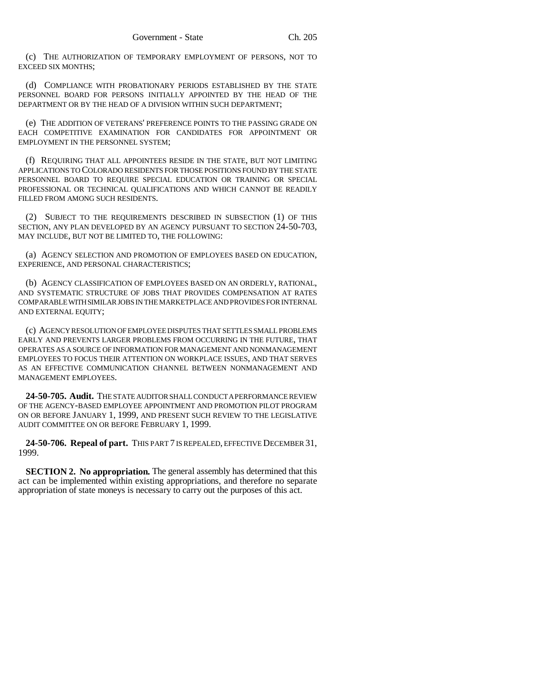(c) THE AUTHORIZATION OF TEMPORARY EMPLOYMENT OF PERSONS, NOT TO EXCEED SIX MONTHS;

(d) COMPLIANCE WITH PROBATIONARY PERIODS ESTABLISHED BY THE STATE PERSONNEL BOARD FOR PERSONS INITIALLY APPOINTED BY THE HEAD OF THE DEPARTMENT OR BY THE HEAD OF A DIVISION WITHIN SUCH DEPARTMENT;

(e) THE ADDITION OF VETERANS' PREFERENCE POINTS TO THE PASSING GRADE ON EACH COMPETITIVE EXAMINATION FOR CANDIDATES FOR APPOINTMENT OR EMPLOYMENT IN THE PERSONNEL SYSTEM;

(f) REQUIRING THAT ALL APPOINTEES RESIDE IN THE STATE, BUT NOT LIMITING APPLICATIONS TO COLORADO RESIDENTS FOR THOSE POSITIONS FOUND BY THE STATE PERSONNEL BOARD TO REQUIRE SPECIAL EDUCATION OR TRAINING OR SPECIAL PROFESSIONAL OR TECHNICAL QUALIFICATIONS AND WHICH CANNOT BE READILY FILLED FROM AMONG SUCH RESIDENTS.

(2) SUBJECT TO THE REQUIREMENTS DESCRIBED IN SUBSECTION (1) OF THIS SECTION, ANY PLAN DEVELOPED BY AN AGENCY PURSUANT TO SECTION 24-50-703, MAY INCLUDE, BUT NOT BE LIMITED TO, THE FOLLOWING:

(a) AGENCY SELECTION AND PROMOTION OF EMPLOYEES BASED ON EDUCATION, EXPERIENCE, AND PERSONAL CHARACTERISTICS;

(b) AGENCY CLASSIFICATION OF EMPLOYEES BASED ON AN ORDERLY, RATIONAL, AND SYSTEMATIC STRUCTURE OF JOBS THAT PROVIDES COMPENSATION AT RATES COMPARABLE WITH SIMILAR JOBS IN THE MARKETPLACE AND PROVIDES FOR INTERNAL AND EXTERNAL EQUITY;

(c) AGENCY RESOLUTION OF EMPLOYEE DISPUTES THAT SETTLES SMALL PROBLEMS EARLY AND PREVENTS LARGER PROBLEMS FROM OCCURRING IN THE FUTURE, THAT OPERATES AS A SOURCE OF INFORMATION FOR MANAGEMENT AND NONMANAGEMENT EMPLOYEES TO FOCUS THEIR ATTENTION ON WORKPLACE ISSUES, AND THAT SERVES AS AN EFFECTIVE COMMUNICATION CHANNEL BETWEEN NONMANAGEMENT AND MANAGEMENT EMPLOYEES.

**24-50-705. Audit.** THE STATE AUDITOR SHALL CONDUCT A PERFORMANCE REVIEW OF THE AGENCY-BASED EMPLOYEE APPOINTMENT AND PROMOTION PILOT PROGRAM ON OR BEFORE JANUARY 1, 1999, AND PRESENT SUCH REVIEW TO THE LEGISLATIVE AUDIT COMMITTEE ON OR BEFORE FEBRUARY 1, 1999.

**24-50-706. Repeal of part.** THIS PART 7 IS REPEALED, EFFECTIVE DECEMBER 31, 1999.

**SECTION 2. No appropriation.** The general assembly has determined that this act can be implemented within existing appropriations, and therefore no separate appropriation of state moneys is necessary to carry out the purposes of this act.